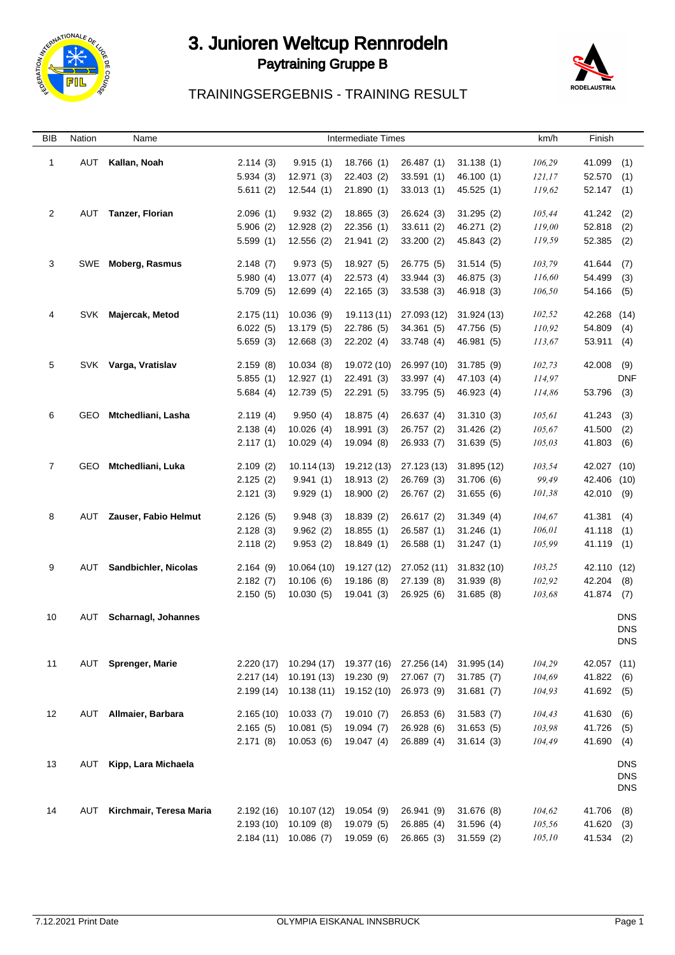

#### 3. Junioren Weltcup Rennrodeln Paytraining Gruppe B and the set of the set of the set of the set of the set of the set of the set of the set of the set of the set of the set of the set of the set of the set of the set of the set of the set of the set of



## TRAININGSERGEBNIS - TRAINING RESULT

| BIB            | Nation | Name                    |                      |                                        | <b>Intermediate Times</b> |                           |                        | km/h             | Finish                |                          |
|----------------|--------|-------------------------|----------------------|----------------------------------------|---------------------------|---------------------------|------------------------|------------------|-----------------------|--------------------------|
| $\overline{1}$ | AUT    | Kallan, Noah            | 2.114(3)             | 9.915(1)                               | 18.766 (1)                | 26.487 (1)                | 31.138(1)              | 106,29           | 41.099                | (1)                      |
|                |        |                         | 5.934(3)             | 12.971 (3)                             | 22.403 (2)                | 33.591(1)                 | 46.100 (1)             | 121,17           | 52.570                | (1)                      |
|                |        |                         | 5.611(2)             | 12.544(1)                              | 21.890(1)                 | 33.013(1)                 | 45.525 (1)             | 119,62           | 52.147                | (1)                      |
|                |        |                         |                      |                                        |                           |                           |                        |                  |                       |                          |
| $\overline{2}$ | AUT    | Tanzer, Florian         | 2.096(1)             | 9.932(2)                               | 18.865 (3)                | 26.624 (3)                | 31.295(2)              | 105,44           | 41.242                | (2)                      |
|                |        |                         | 5.906(2)             | 12.928 (2)                             | 22.356(1)                 | 33.611(2)                 | 46.271 (2)             | 119,00           | 52.818                | (2)                      |
|                |        |                         | 5.599(1)             | 12.556(2)                              | 21.941 (2)                | 33.200 (2)                | 45.843 (2)             | 119,59           | 52.385                | (2)                      |
| 3              |        | SWE Moberg, Rasmus      | 2.148(7)             | 9.973(5)                               | 18.927 (5)                | 26.775 (5)                | 31.514(5)              | 103,79           | 41.644                | (7)                      |
|                |        |                         | 5.980(4)             | 13.077 (4)                             | 22.573 (4)                | 33.944 (3)                | 46.875 (3)             | 116,60           | 54.499                | (3)                      |
|                |        |                         | 5.709(5)             | 12.699(4)                              | 22.165(3)                 | 33.538 (3)                | 46.918 (3)             | 106,50           | 54.166                | (5)                      |
| 4              | SVK    | Majercak, Metod         | 2.175(11)            | 10.036(9)                              | 19.113 (11)               | 27.093 (12)               | 31.924 (13)            | 102,52           | 42.268 (14)           |                          |
|                |        |                         | 6.022(5)             | 13.179 (5)                             | 22.786 (5)                | 34.361 (5)                | 47.756 (5)             | 110,92           | 54.809                | (4)                      |
|                |        |                         | 5.659(3)             | 12.668(3)                              | 22.202 (4)                | 33.748 (4)                | 46.981 (5)             | 113,67           | 53.911                | (4)                      |
|                |        |                         |                      |                                        |                           |                           |                        |                  |                       |                          |
| 5              | SVK    | Varga, Vratislav        | 2.159(8)             | 10.034(8)                              | 19.072 (10)               | 26.997 (10)               | 31.785(9)              | 102,73           | 42.008                | (9)                      |
|                |        |                         | 5.855(1)             | 12.927(1)                              | 22.491 (3)                | 33.997 (4)                | 47.103 (4)             | 114,97           |                       | <b>DNF</b>               |
|                |        |                         | 5.684(4)             | 12.739 (5)                             | 22.291 (5)                | 33.795 (5)                | 46.923 (4)             | 114,86           | 53.796                | (3)                      |
| 6              | GEO    | Mtchedliani, Lasha      | 2.119(4)             | 9.950(4)                               | 18.875 (4)                | 26.637 (4)                | 31.310(3)              | 105,61           | 41.243                | (3)                      |
|                |        |                         | 2.138(4)             | 10.026(4)                              | 18.991(3)                 | 26.757 (2)                | 31.426(2)              | 105,67           | 41.500                | (2)                      |
|                |        |                         | 2.117(1)             | 10.029(4)                              | 19.094 (8)                | 26.933 (7)                | 31.639(5)              | 105,03           | 41.803                | (6)                      |
|                |        |                         |                      |                                        |                           |                           |                        |                  |                       |                          |
| $\overline{7}$ | GEO    | Mtchedliani, Luka       | 2.109(2)             | 10.114(13)                             | 19.212 (13)               | 27.123 (13)               | 31.895 (12)            | 103,54           | 42.027 (10)           |                          |
|                |        |                         | 2.125(2)<br>2.121(3) | 9.941(1)<br>9.929(1)                   | 18.913 (2)<br>18.900(2)   | 26.769 (3)<br>26.767 (2)  | 31.706(6)<br>31.655(6) | 99,49<br>101,38  | 42.406 (10)<br>42.010 | (9)                      |
|                |        |                         |                      |                                        |                           |                           |                        |                  |                       |                          |
| 8              | AUT    | Zauser, Fabio Helmut    | 2.126(5)             | 9.948(3)                               | 18.839(2)                 | 26.617 (2)                | 31.349(4)              | 104,67           | 41.381 (4)            |                          |
|                |        |                         | 2.128(3)             | 9.962(2)                               | 18.855(1)                 | 26.587 (1)                | 31.246(1)              | 106,01           | 41.118                | (1)                      |
|                |        |                         | 2.118(2)             | 9.953(2)                               | 18.849(1)                 | 26.588 (1)                | 31.247(1)              | 105,99           | 41.119 (1)            |                          |
| 9              | AUT    | Sandbichler, Nicolas    | 2.164(9)             | 10.064 (10)                            | 19.127 (12)               | 27.052 (11)               | 31.832(10)             | 103,25           | 42.110 (12)           |                          |
|                |        |                         | 2.182(7)             | 10.106(6)                              | 19.186 (8)                | 27.139 (8)                | 31.939(8)              | 102,92           | 42.204                | (8)                      |
|                |        |                         | 2.150(5)             | 10.030(5)                              | 19.041 (3)                | 26.925 (6)                | 31.685(8)              | 103,68           | 41.874 (7)            |                          |
|                |        |                         |                      |                                        |                           |                           |                        |                  |                       |                          |
| 10             | AUT    | Scharnagl, Johannes     |                      |                                        |                           |                           |                        |                  |                       | <b>DNS</b><br><b>DNS</b> |
|                |        |                         |                      |                                        |                           |                           |                        |                  |                       | <b>DNS</b>               |
|                |        |                         |                      |                                        |                           |                           |                        |                  |                       |                          |
| 11             | AUT    | <b>Sprenger, Marie</b>  | 2.217(14)            | $2.220(17)$ 10.294 (17)<br>10.191 (13) | 19.377 (16)<br>19.230 (9) | 27.256 (14)<br>27.067 (7) | 31.995 (14)            | 104,29           | 42.057 (11)           |                          |
|                |        |                         | 2.199 (14)           | 10.138 (11)                            | 19.152 (10)               | 26.973 (9)                | 31.785(7)<br>31.681(7) | 104,69<br>104,93 | 41.822<br>41.692 (5)  | (6)                      |
|                |        |                         |                      |                                        |                           |                           |                        |                  |                       |                          |
| 12             | AUT    | Allmaier, Barbara       | 2.165(10)            | 10.033(7)                              | 19.010 (7)                | 26.853 (6)                | 31.583(7)              | 104,43           | 41.630                | (6)                      |
|                |        |                         | 2.165(5)             | 10.081(5)                              | 19.094 (7)                | 26.928 (6)                | 31.653(5)              | 103,98           | 41.726                | (5)                      |
|                |        |                         | 2.171(8)             | 10.053(6)                              | 19.047 (4)                | 26.889 (4)                | 31.614(3)              | 104,49           | 41.690                | (4)                      |
| 13             | AUT    | Kipp, Lara Michaela     |                      |                                        |                           |                           |                        |                  |                       | <b>DNS</b>               |
|                |        |                         |                      |                                        |                           |                           |                        |                  |                       | <b>DNS</b>               |
|                |        |                         |                      |                                        |                           |                           |                        |                  |                       | <b>DNS</b>               |
| 14             | AUT    | Kirchmair, Teresa Maria |                      | 2.192 (16) 10.107 (12)                 | 19.054 (9)                | 26.941 (9)                | 31.676(8)              | 104,62           | 41.706                | (8)                      |
|                |        |                         | 2.193(10)            | 10.109(8)                              | 19.079 (5)                | 26.885 (4)                | 31.596(4)              | 105,56           | 41.620                | (3)                      |
|                |        |                         |                      | 2.184 (11) 10.086 (7)                  | 19.059 (6)                | 26.865(3)                 | 31.559(2)              | 105,10           | 41.534 (2)            |                          |
|                |        |                         |                      |                                        |                           |                           |                        |                  |                       |                          |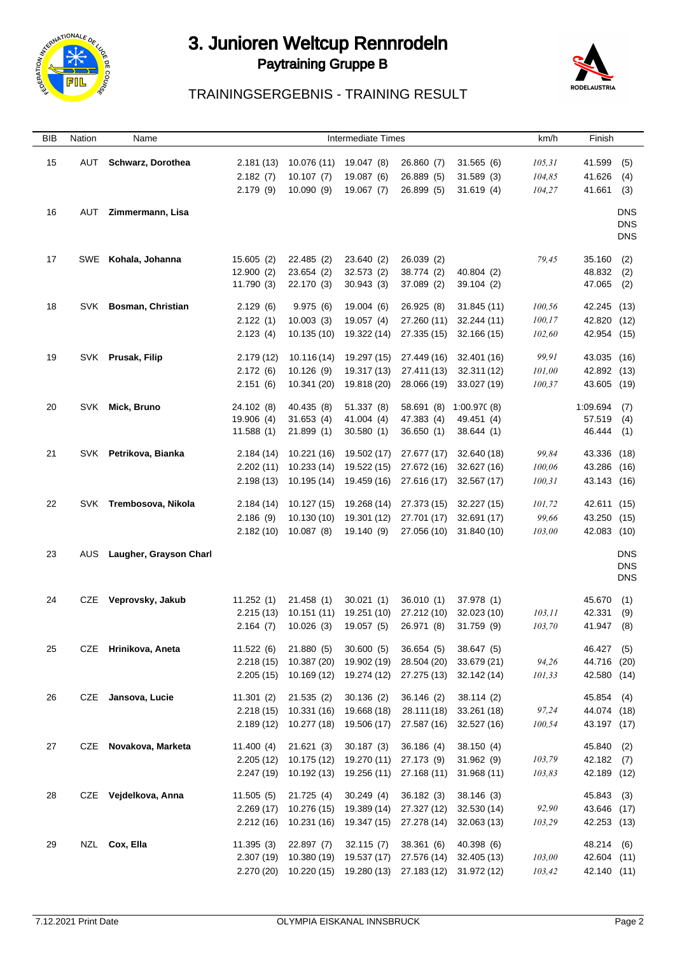

# 3. Junioren Weltcup Rennrodeln Paytraining Gruppe B



## TRAININGSERGEBNIS - TRAINING RESULT

| <b>BIB</b> | Nation | Name                   |                        | <b>Intermediate Times</b> |                          |                                     |                           | km/h    | Finish                    |                          |
|------------|--------|------------------------|------------------------|---------------------------|--------------------------|-------------------------------------|---------------------------|---------|---------------------------|--------------------------|
| 15         | AUT    | Schwarz, Dorothea      | 2.181(13)              | 10.076 (11)               | 19.047 (8)               | 26.860 (7)                          | 31.565(6)                 | 105, 31 | 41.599                    | (5)                      |
|            |        |                        |                        |                           |                          |                                     |                           |         |                           |                          |
|            |        |                        | 2.182(7)               | 10.107(7)                 | 19.087 (6)               | 26.889 (5)<br>26.899 (5)            | 31.589(3)                 | 104,85  | 41.626                    | (4)                      |
|            |        |                        | 2.179(9)               | 10.090(9)                 | 19.067 (7)               |                                     | 31.619(4)                 | 104,27  | 41.661                    | (3)                      |
| 16         | AUT    | Zimmermann, Lisa       |                        |                           |                          |                                     |                           |         |                           | <b>DNS</b>               |
|            |        |                        |                        |                           |                          |                                     |                           |         |                           | <b>DNS</b>               |
|            |        |                        |                        |                           |                          |                                     |                           |         |                           | <b>DNS</b>               |
|            |        |                        |                        |                           |                          |                                     |                           |         |                           |                          |
| 17         |        | SWE Kohala, Johanna    | 15.605(2)              | 22.485 (2)                | 23.640 (2)               | 26.039 (2)                          |                           | 79,45   | 35.160                    | (2)                      |
|            |        |                        | 12.900(2)              | 23.654(2)                 | 32.573 (2)               | 38.774 (2)                          | 40.804(2)                 |         | 48.832                    | (2)                      |
|            |        |                        | 11.790 (3)             | 22.170 (3)                | 30.943(3)                | 37.089 (2)                          | 39.104 (2)                |         | 47.065                    | (2)                      |
| 18         |        | SVK Bosman, Christian  | 2.129(6)               | 9.975(6)                  | 19.004 (6)               | 26.925 (8)                          | 31.845 (11)               | 100,56  | 42.245 (13)               |                          |
|            |        |                        | 2.122(1)               | 10.003(3)                 | 19.057 (4)               | 27.260 (11)                         | 32.244 (11)               | 100,17  | 42.820 (12)               |                          |
|            |        |                        | 2.123(4)               | 10.135 (10)               | 19.322 (14)              | 27.335 (15)                         | 32.166 (15)               | 102,60  | 42.954 (15)               |                          |
|            |        |                        |                        |                           |                          |                                     |                           |         |                           |                          |
| 19         |        | SVK Prusak, Filip      | 2.179(12)              | 10.116 (14)               | 19.297 (15)              | 27.449 (16)                         | 32.401 (16)               | 99,91   | 43.035 (16)               |                          |
|            |        |                        | 2.172(6)               | 10.126(9)                 | 19.317 (13)              | 27.411 (13)                         | 32.311 (12)               | 101,00  | 42.892 (13)               |                          |
|            |        |                        | 2.151(6)               | 10.341 (20)               | 19.818 (20)              | 28.066 (19)                         | 33.027 (19)               | 100,37  | 43.605 (19)               |                          |
|            |        |                        |                        |                           |                          |                                     |                           |         |                           |                          |
| 20         |        | SVK Mick, Bruno        | 24.102 (8)             | 40.435 (8)                | 51.337 (8)               | 58.691 (8)                          | 1:00.97(8)                |         | 1:09.694                  | (7)                      |
|            |        |                        | 19.906 (4)             | 31.653(4)                 | 41.004 (4)               | 47.383 (4)                          | 49.451 (4)                |         | 57.519                    | (4)                      |
|            |        |                        | 11.588(1)              | 21.899(1)                 | 30.580 (1)               | 36.650(1)                           | 38.644 (1)                |         | 46.444 (1)                |                          |
| 21         |        | SVK Petrikova, Bianka  | 2.184(14)              | 10.221 (16)               | 19.502 (17)              | 27.677 (17)                         | 32.640 (18)               | 99,84   | 43.336 (18)               |                          |
|            |        |                        | 2.202(11)              | 10.233 (14)               | 19.522 (15)              | 27.672 (16)                         | 32.627 (16)               | 100,06  | 43.286 (16)               |                          |
|            |        |                        | 2.198(13)              | 10.195 (14)               | 19.459 (16)              | 27.616 (17)                         | 32.567 (17)               | 100,31  | 43.143 (16)               |                          |
|            |        |                        |                        |                           |                          |                                     |                           |         |                           |                          |
| 22         |        | SVK Trembosova, Nikola |                        | $2.184(14)$ 10.127 (15)   | 19.268 (14)              | 27.373 (15)                         | 32.227 (15)               | 101,72  | 42.611 (15)               |                          |
|            |        |                        | 2.186(9)               | 10.130 (10)               | 19.301 (12)              | 27.701 (17)                         | 32.691 (17)               | 99,66   | 43.250 (15)               |                          |
|            |        |                        |                        | $2.182(10)$ 10.087 (8)    | 19.140 (9)               | 27.056 (10)                         | 31.840 (10)               | 103,00  | 42.083 (10)               |                          |
|            |        |                        |                        |                           |                          |                                     |                           |         |                           |                          |
| 23         | AUS    | Laugher, Grayson Charl |                        |                           |                          |                                     |                           |         |                           | <b>DNS</b>               |
|            |        |                        |                        |                           |                          |                                     |                           |         |                           | <b>DNS</b><br><b>DNS</b> |
|            |        |                        |                        |                           |                          |                                     |                           |         |                           |                          |
| 24         |        | CZE Veprovsky, Jakub   | 11.252(1)              | 21.458(1)                 | 30.021(1)                | 36.010(1)                           | 37.978 (1)                |         | 45.670                    | (1)                      |
|            |        |                        | 2.215(13)              | 10.151(11)                | 19.251 (10)              | 27.212 (10)                         | 32.023 (10)               | 103,11  | 42.331                    | (9)                      |
|            |        |                        | 2.164(7)               | 10.026(3)                 | 19.057 (5)               | 26.971 (8)                          | 31.759(9)                 | 103,70  | 41.947                    | (8)                      |
|            |        |                        |                        |                           |                          |                                     |                           |         |                           |                          |
| 25         |        | CZE Hrinikova, Aneta   | 11.522(6)              | 21.880 (5)                | 30.600(5)                | 36.654 (5)                          | 38.647 (5)                |         | 46.427 (5)                |                          |
|            |        |                        | 2.218(15)              | 10.387 (20)               | 19.902 (19)              | 28.504 (20)                         | 33.679 (21)               | 94,26   | 44.716 (20)               |                          |
|            |        |                        | 2.205(15)              | 10.169 (12)               | 19.274 (12)              | 27.275 (13)                         | 32.142 (14)               | 101,33  | 42.580 (14)               |                          |
| 26         |        | CZE Jansova, Lucie     | 11.301(2)              | 21.535(2)                 | 30.136(2)                | 36.146 (2)                          | 38.114(2)                 |         | 45.854 (4)                |                          |
|            |        |                        | 2.218(15)              | 10.331 (16)               | 19.668 (18)              | 28.111 (18)                         | 33.261 (18)               | 97,24   | 44.074 (18)               |                          |
|            |        |                        |                        | 2.189 (12) 10.277 (18)    | 19.506 (17)              | 27.587 (16)                         | 32.527 (16)               | 100,54  | 43.197 (17)               |                          |
|            |        |                        |                        |                           |                          |                                     |                           |         |                           |                          |
| 27         |        | CZE Novakova, Marketa  | 11.400(4)              | 21.621(3)                 | 30.187(3)                | 36.186 (4)                          | 38.150 (4)                |         | 45.840                    | (2)                      |
|            |        |                        | 2.205(12)              | 10.175 (12)               | 19.270 (11)              | 27.173 (9)                          | 31.962 (9)                | 103,79  | 42.182 (7)                |                          |
|            |        |                        | 2.247(19)              | 10.192 (13)               | 19.256 (11)              | 27.168 (11)                         | 31.968 (11)               | 103,83  | 42.189 (12)               |                          |
| 28         |        |                        |                        |                           |                          |                                     |                           |         |                           |                          |
|            |        | CZE Vejdelkova, Anna   | 11.505(5)<br>2.269(17) | 21.725(4)<br>10.276 (15)  | 30.249(4)<br>19.389 (14) | 36.182 (3)<br>27.327 (12)           | 38.146 (3)<br>32.530 (14) | 92,90   | 45.843 (3)<br>43.646 (17) |                          |
|            |        |                        |                        |                           |                          |                                     |                           |         |                           |                          |
|            |        |                        | 2.212(16)              | 10.231 (16)               | 19.347 (15)              | 27.278 (14)                         | 32.063 (13)               | 103,29  | 42.253 (13)               |                          |
| 29         |        | NZL Cox, Ella          | 11.395(3)              | 22.897 (7)                | 32.115(7)                | 38.361 (6)                          | 40.398 (6)                |         | 48.214 (6)                |                          |
|            |        |                        |                        | 2.307 (19) 10.380 (19)    | 19.537 (17)              | 27.576 (14)                         | 32.405 (13)               | 103,00  | 42.604 (11)               |                          |
|            |        |                        |                        | 2.270 (20) 10.220 (15)    |                          | 19.280 (13) 27.183 (12) 31.972 (12) |                           | 103,42  | 42.140 (11)               |                          |
|            |        |                        |                        |                           |                          |                                     |                           |         |                           |                          |